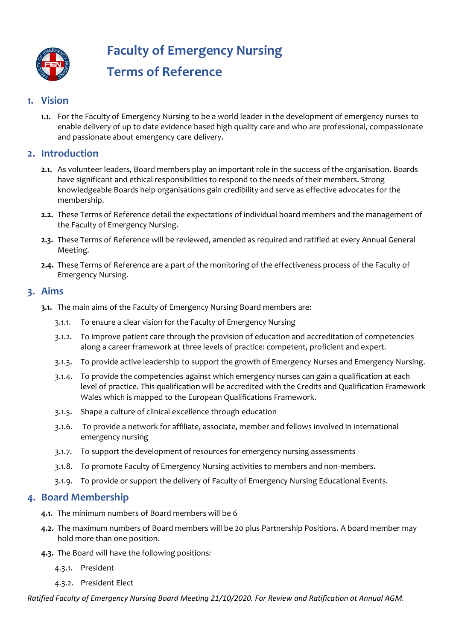

**Faculty of Emergency Nursing**

# **Terms of Reference**

# **1. Vision**

**1.1.** For the Faculty of Emergency Nursing to be a world leader in the development of emergency nurses to enable delivery of up to date evidence based high quality care and who are professional, compassionate and passionate about emergency care delivery.

# **2. Introduction**

- **2.1.** As volunteer leaders, Board members play an important role in the success of the organisation. Boards have significant and ethical responsibilities to respond to the needs of their members. Strong knowledgeable Boards help organisations gain credibility and serve as effective advocates for the membership.
- **2.2.** These Terms of Reference detail the expectations of individual board members and the management of the Faculty of Emergency Nursing.
- **2.3.** These Terms of Reference will be reviewed, amended as required and ratified at every Annual General Meeting.
- **2.4.** These Terms of Reference are a part of the monitoring of the effectiveness process of the Faculty of Emergency Nursing.

# **3. Aims**

- **3.1.** The main aims of the Faculty of Emergency Nursing Board members are:
	- 3.1.1. To ensure a clear vision for the Faculty of Emergency Nursing
	- 3.1.2. To improve patient care through the provision of education and accreditation of competencies along a career framework at three levels of practice: competent, proficient and expert.
	- 3.1.3. To provide active leadership to support the growth of Emergency Nurses and Emergency Nursing.
	- 3.1.4. To provide the competencies against which emergency nurses can gain a qualification at each level of practice. This qualification will be accredited with the Credits and Qualification Framework Wales which is mapped to the European Qualifications Framework.
	- 3.1.5. Shape a culture of clinical excellence through education
	- 3.1.6. To provide a network for affiliate, associate, member and fellows involved in international emergency nursing
	- 3.1.7. To support the development of resources for emergency nursing assessments
	- 3.1.8. To promote Faculty of Emergency Nursing activities to members and non-members.
	- 3.1.9. To provide or support the delivery of Faculty of Emergency Nursing Educational Events.

## **4. Board Membership**

- **4.1.** The minimum numbers of Board members will be 6
- **4.2.** The maximum numbers of Board members will be 20 plus Partnership Positions. A board member may hold more than one position.
- **4.3.** The Board will have the following positions:
	- 4.3.1. President
	- 4.3.2. President Elect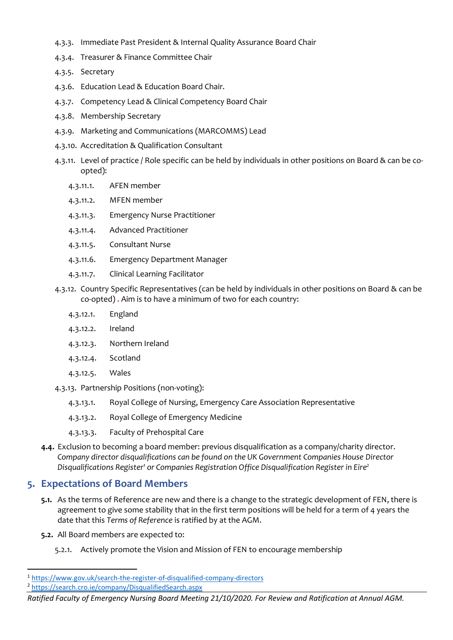- 4.3.3. Immediate Past President & Internal Quality Assurance Board Chair
- 4.3.4. Treasurer & Finance Committee Chair
- 4.3.5. Secretary
- 4.3.6. Education Lead & Education Board Chair.
- 4.3.7. Competency Lead & Clinical Competency Board Chair
- 4.3.8. Membership Secretary
- 4.3.9. Marketing and Communications (MARCOMMS) Lead
- 4.3.10. Accreditation & Qualification Consultant
- 4.3.11. Level of practice / Role specific can be held by individuals in other positions on Board & can be coopted):
	- 4.3.11.1. AFEN member
	- 4.3.11.2. MFEN member
	- 4.3.11.3. Emergency Nurse Practitioner
	- 4.3.11.4. Advanced Practitioner
	- 4.3.11.5. Consultant Nurse
	- 4.3.11.6. Emergency Department Manager
	- 4.3.11.7. Clinical Learning Facilitator
- 4.3.12. Country Specific Representatives (can be held by individuals in other positions on Board & can be co-opted) **.** Aim is to have a minimum of two for each country:
	- 4.3.12.1. England
	- 4.3.12.2. Ireland
	- 4.3.12.3. Northern Ireland
	- 4.3.12.4. Scotland
	- 4.3.12.5. Wales
- 4.3.13. Partnership Positions (non-voting):
	- 4.3.13.1. Royal College of Nursing, Emergency Care Association Representative
	- 4.3.13.2. Royal College of Emergency Medicine
	- 4.3.13.3. Faculty of Prehospital Care
- **4.4.** Exclusion to becoming a board member: previous disqualification as a company/charity director. *Company director disqualifications can be found on the UK Government Companies House Director Disqualifications Register<sup>1</sup> or Companies Registration Office Disqualification Register in Eire<sup>2</sup>*

# **5. Expectations of Board Members**

- **5.1.** As the terms of Reference are new and there is a change to the strategic development of FEN, there is agreement to give some stability that in the first term positions will be held for a term of 4 years the date that this *Terms of Reference* is ratified by at the AGM.
- **5.2.** All Board members are expected to:
	- 5.2.1. Actively promote the Vision and Mission of FEN to encourage membership

*Ratified Faculty of Emergency Nursing Board Meeting 21/10/2020. For Review and Ratification at Annual AGM.*

<sup>1</sup> <https://www.gov.uk/search-the-register-of-disqualified-company-directors>

<sup>2</sup> <https://search.cro.ie/company/DisqualifiedSearch.aspx>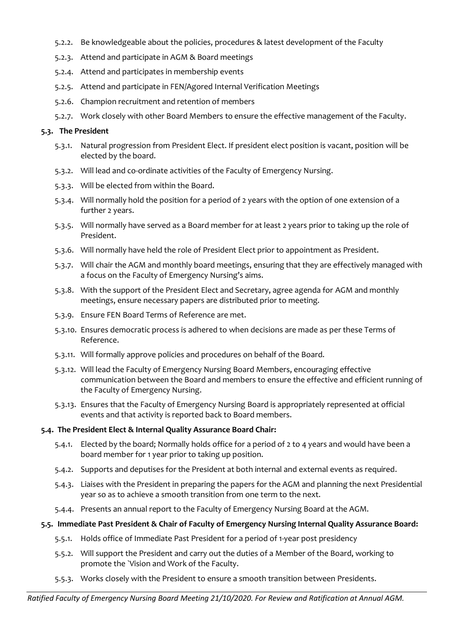- 5.2.2. Be knowledgeable about the policies, procedures & latest development of the Faculty
- 5.2.3. Attend and participate in AGM & Board meetings
- 5.2.4. Attend and participates in membership events
- 5.2.5. Attend and participate in FEN/Agored Internal Verification Meetings
- 5.2.6. Champion recruitment and retention of members
- 5.2.7. Work closely with other Board Members to ensure the effective management of the Faculty.

## **5.3. The President**

- 5.3.1. Natural progression from President Elect. If president elect position is vacant, position will be elected by the board.
- 5.3.2. Will lead and co-ordinate activities of the Faculty of Emergency Nursing.
- 5.3.3. Will be elected from within the Board.
- 5.3.4. Will normally hold the position for a period of 2 years with the option of one extension of a further 2 years.
- 5.3.5. Will normally have served as a Board member for at least 2 years prior to taking up the role of President.
- 5.3.6. Will normally have held the role of President Elect prior to appointment as President.
- 5.3.7. Will chair the AGM and monthly board meetings, ensuring that they are effectively managed with a focus on the Faculty of Emergency Nursing's aims.
- 5.3.8. With the support of the President Elect and Secretary, agree agenda for AGM and monthly meetings, ensure necessary papers are distributed prior to meeting.
- 5.3.9. Ensure FEN Board Terms of Reference are met.
- 5.3.10. Ensures democratic process is adhered to when decisions are made as per these Terms of Reference.
- 5.3.11. Will formally approve policies and procedures on behalf of the Board.
- 5.3.12. Will lead the Faculty of Emergency Nursing Board Members, encouraging effective communication between the Board and members to ensure the effective and efficient running of the Faculty of Emergency Nursing.
- 5.3.13. Ensures that the Faculty of Emergency Nursing Board is appropriately represented at official events and that activity is reported back to Board members.

## **5.4. The President Elect & Internal Quality Assurance Board Chair:**

- 5.4.1. Elected by the board; Normally holds office for a period of 2 to 4 years and would have been a board member for 1 year prior to taking up position.
- 5.4.2. Supports and deputises for the President at both internal and external events as required.
- 5.4.3. Liaises with the President in preparing the papers for the AGM and planning the next Presidential year so as to achieve a smooth transition from one term to the next.
- 5.4.4. Presents an annual report to the Faculty of Emergency Nursing Board at the AGM.

## **5.5. Immediate Past President & Chair of Faculty of Emergency Nursing Internal Quality Assurance Board:**

- 5.5.1. Holds office of Immediate Past President for a period of 1-year post presidency
- 5.5.2. Will support the President and carry out the duties of a Member of the Board, working to promote the `Vision and Work of the Faculty.
- 5.5.3. Works closely with the President to ensure a smooth transition between Presidents.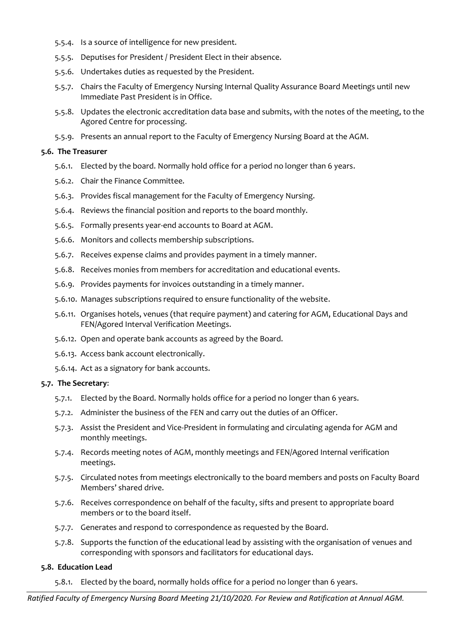- 5.5.4. Is a source of intelligence for new president.
- 5.5.5. Deputises for President / President Elect in their absence.
- 5.5.6. Undertakes duties as requested by the President.
- 5.5.7. Chairs the Faculty of Emergency Nursing Internal Quality Assurance Board Meetings until new Immediate Past President is in Office.
- 5.5.8. Updates the electronic accreditation data base and submits, with the notes of the meeting, to the Agored Centre for processing.
- 5.5.9. Presents an annual report to the Faculty of Emergency Nursing Board at the AGM.

#### **5.6. The Treasurer**

- 5.6.1. Elected by the board. Normally hold office for a period no longer than 6 years.
- 5.6.2. Chair the Finance Committee.
- 5.6.3. Provides fiscal management for the Faculty of Emergency Nursing.
- 5.6.4. Reviews the financial position and reports to the board monthly.
- 5.6.5. Formally presents year-end accounts to Board at AGM.
- 5.6.6. Monitors and collects membership subscriptions.
- 5.6.7. Receives expense claims and provides payment in a timely manner.
- 5.6.8. Receives monies from members for accreditation and educational events.
- 5.6.9. Provides payments for invoices outstanding in a timely manner.
- 5.6.10. Manages subscriptions required to ensure functionality of the website.
- 5.6.11. Organises hotels, venues (that require payment) and catering for AGM, Educational Days and FEN/Agored Interval Verification Meetings.
- 5.6.12. Open and operate bank accounts as agreed by the Board.
- 5.6.13. Access bank account electronically.
- 5.6.14. Act as a signatory for bank accounts.

#### **5.7. The Secretary**:

- 5.7.1. Elected by the Board. Normally holds office for a period no longer than 6 years.
- 5.7.2. Administer the business of the FEN and carry out the duties of an Officer.
- 5.7.3. Assist the President and Vice-President in formulating and circulating agenda for AGM and monthly meetings.
- 5.7.4. Records meeting notes of AGM, monthly meetings and FEN/Agored Internal verification meetings.
- 5.7.5. Circulated notes from meetings electronically to the board members and posts on Faculty Board Members' shared drive.
- 5.7.6. Receives correspondence on behalf of the faculty, sifts and present to appropriate board members or to the board itself.
- 5.7.7. Generates and respond to correspondence as requested by the Board.
- 5.7.8. Supports the function of the educational lead by assisting with the organisation of venues and corresponding with sponsors and facilitators for educational days.

#### **5.8. Education Lead**

5.8.1. Elected by the board, normally holds office for a period no longer than 6 years.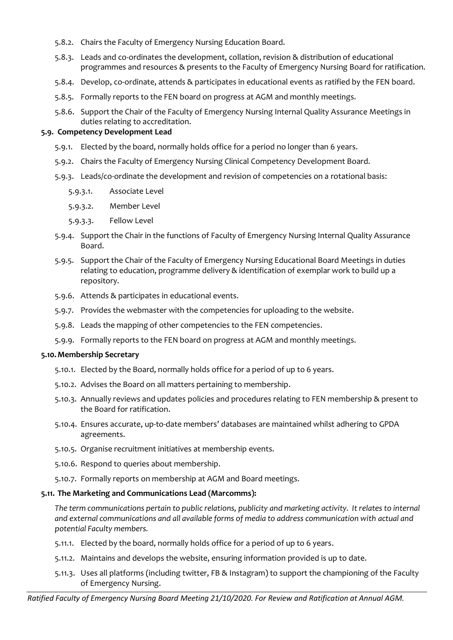- 5.8.2. Chairs the Faculty of Emergency Nursing Education Board.
- 5.8.3. Leads and co-ordinates the development, collation, revision & distribution of educational programmes and resources & presents to the Faculty of Emergency Nursing Board for ratification.
- 5.8.4. Develop, co-ordinate, attends & participates in educational events as ratified by the FEN board.
- 5.8.5. Formally reports to the FEN board on progress at AGM and monthly meetings.
- 5.8.6. Support the Chair of the Faculty of Emergency Nursing Internal Quality Assurance Meetings in duties relating to accreditation.

#### **5.9. Competency Development Lead**

- 5.9.1. Elected by the board, normally holds office for a period no longer than 6 years.
- 5.9.2. Chairs the Faculty of Emergency Nursing Clinical Competency Development Board.
- 5.9.3. Leads/co-ordinate the development and revision of competencies on a rotational basis:
	- 5.9.3.1. Associate Level
	- 5.9.3.2. Member Level
	- 5.9.3.3. Fellow Level
- 5.9.4. Support the Chair in the functions of Faculty of Emergency Nursing Internal Quality Assurance Board.
- 5.9.5. Support the Chair of the Faculty of Emergency Nursing Educational Board Meetings in duties relating to education, programme delivery & identification of exemplar work to build up a repository.
- 5.9.6. Attends & participates in educational events.
- 5.9.7. Provides the webmaster with the competencies for uploading to the website.
- 5.9.8. Leads the mapping of other competencies to the FEN competencies.
- 5.9.9. Formally reports to the FEN board on progress at AGM and monthly meetings.

#### **5.10.Membership Secretary**

- 5.10.1. Elected by the Board, normally holds office for a period of up to 6 years.
- 5.10.2. Advises the Board on all matters pertaining to membership.
- 5.10.3. Annually reviews and updates policies and procedures relating to FEN membership & present to the Board for ratification.
- 5.10.4. Ensures accurate, up-to-date members' databases are maintained whilst adhering to GPDA agreements.
- 5.10.5. Organise recruitment initiatives at membership events.
- 5.10.6. Respond to queries about membership.
- 5.10.7. Formally reports on membership at AGM and Board meetings.

## **5.11. The Marketing and Communications Lead (Marcomms):**

*The term communications pertain to public relations, publicity and marketing activity. It relates to internal and external communications and all available forms of media to address communication with actual and potential Faculty members.* 

- 5.11.1. Elected by the board, normally holds office for a period of up to 6 years.
- 5.11.2. Maintains and develops the website, ensuring information provided is up to date.
- 5.11.3. Uses all platforms (including twitter, FB & Instagram) to support the championing of the Faculty of Emergency Nursing.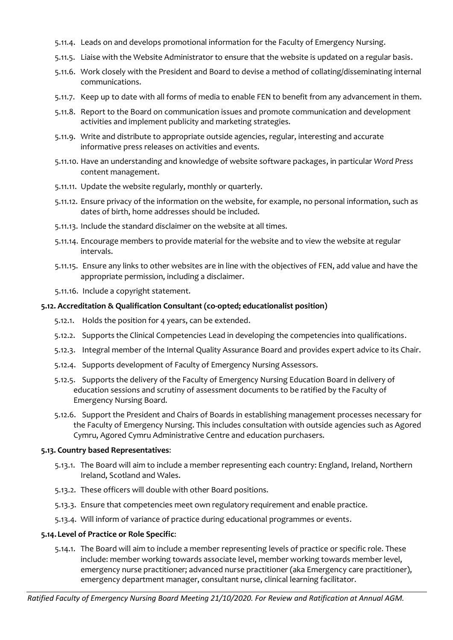- 5.11.4. Leads on and develops promotional information for the Faculty of Emergency Nursing.
- 5.11.5. Liaise with the Website Administrator to ensure that the website is updated on a regular basis.
- 5.11.6. Work closely with the President and Board to devise a method of collating/disseminating internal communications.
- 5.11.7. Keep up to date with all forms of media to enable FEN to benefit from any advancement in them.
- 5.11.8. Report to the Board on communication issues and promote communication and development activities and implement publicity and marketing strategies.
- 5.11.9. Write and distribute to appropriate outside agencies, regular, interesting and accurate informative press releases on activities and events.
- 5.11.10. Have an understanding and knowledge of website software packages, in particular *Word Press* content management.
- 5.11.11. Update the website regularly, monthly or quarterly.
- 5.11.12. Ensure privacy of the information on the website, for example, no personal information, such as dates of birth, home addresses should be included.
- 5.11.13. Include the standard disclaimer on the website at all times.
- 5.11.14. Encourage members to provide material for the website and to view the website at regular intervals.
- 5.11.15. Ensure any links to other websites are in line with the objectives of FEN, add value and have the appropriate permission, including a disclaimer.
- 5.11.16. Include a copyright statement.

#### **5.12. Accreditation & Qualification Consultant (co-opted; educationalist position)**

- 5.12.1. Holds the position for 4 years, can be extended.
- 5.12.2. Supports the Clinical Competencies Lead in developing the competencies into qualifications.
- 5.12.3. Integral member of the Internal Quality Assurance Board and provides expert advice to its Chair.
- 5.12.4. Supports development of Faculty of Emergency Nursing Assessors.
- 5.12.5. Supports the delivery of the Faculty of Emergency Nursing Education Board in delivery of education sessions and scrutiny of assessment documents to be ratified by the Faculty of Emergency Nursing Board.
- 5.12.6. Support the President and Chairs of Boards in establishing management processes necessary for the Faculty of Emergency Nursing. This includes consultation with outside agencies such as Agored Cymru, Agored Cymru Administrative Centre and education purchasers.

## **5.13. Country based Representatives**:

- 5.13.1. The Board will aim to include a member representing each country: England, Ireland, Northern Ireland, Scotland and Wales.
- 5.13.2. These officers will double with other Board positions.
- 5.13.3. Ensure that competencies meet own regulatory requirement and enable practice.
- 5.13.4. Will inform of variance of practice during educational programmes or events.

#### **5.14.Level of Practice or Role Specific**:

5.14.1. The Board will aim to include a member representing levels of practice or specific role. These include: member working towards associate level, member working towards member level, emergency nurse practitioner; advanced nurse practitioner (aka Emergency care practitioner), emergency department manager, consultant nurse, clinical learning facilitator.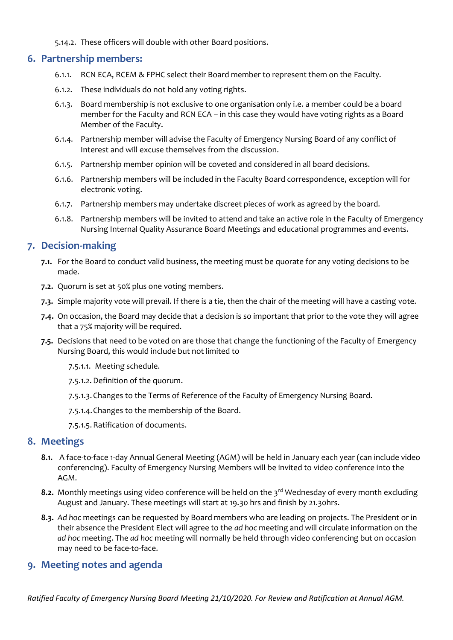5.14.2. These officers will double with other Board positions.

# **6. Partnership members:**

- 6.1.1. RCN ECA, RCEM & FPHC select their Board member to represent them on the Faculty.
- 6.1.2. These individuals do not hold any voting rights.
- 6.1.3. Board membership is not exclusive to one organisation only i.e. a member could be a board member for the Faculty and RCN ECA – in this case they would have voting rights as a Board Member of the Faculty.
- 6.1.4. Partnership member will advise the Faculty of Emergency Nursing Board of any conflict of Interest and will excuse themselves from the discussion.
- 6.1.5. Partnership member opinion will be coveted and considered in all board decisions.
- 6.1.6. Partnership members will be included in the Faculty Board correspondence, exception will for electronic voting.
- 6.1.7. Partnership members may undertake discreet pieces of work as agreed by the board.
- 6.1.8. Partnership members will be invited to attend and take an active role in the Faculty of Emergency Nursing Internal Quality Assurance Board Meetings and educational programmes and events.

# **7. Decision-making**

- **7.1.** For the Board to conduct valid business, the meeting must be quorate for any voting decisions to be made.
- **7.2.** Quorum is set at 50% plus one voting members.
- **7.3.** Simple majority vote will prevail. If there is a tie, then the chair of the meeting will have a casting vote.
- **7.4.** On occasion, the Board may decide that a decision is so important that prior to the vote they will agree that a 75% majority will be required.
- **7.5.** Decisions that need to be voted on are those that change the functioning of the Faculty of Emergency Nursing Board, this would include but not limited to
	- 7.5.1.1. Meeting schedule.
	- 7.5.1.2. Definition of the quorum.
	- 7.5.1.3.Changes to the Terms of Reference of the Faculty of Emergency Nursing Board.
	- 7.5.1.4.Changes to the membership of the Board.
	- 7.5.1.5.Ratification of documents.

## **8. Meetings**

- **8.1.** A face-to-face 1-day Annual General Meeting (AGM) will be held in January each year (can include video conferencing). Faculty of Emergency Nursing Members will be invited to video conference into the AGM.
- **8.2.** Monthly meetings using video conference will be held on the 3<sup>rd</sup> Wednesday of every month excluding August and January. These meetings will start at 19.30 hrs and finish by 21.30hrs.
- **8.3.** *Ad hoc* meetings can be requested by Board members who are leading on projects. The President or in their absence the President Elect will agree to the *ad hoc* meeting and will circulate information on the *ad hoc* meeting. The *ad hoc* meeting will normally be held through video conferencing but on occasion may need to be face-to-face.

# **9. Meeting notes and agenda**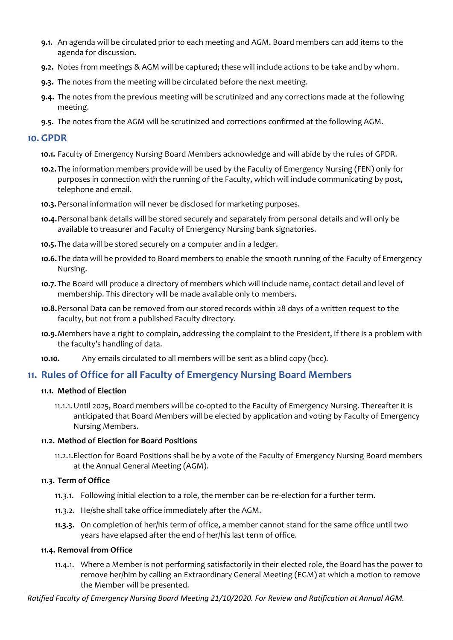- **9.1.** An agenda will be circulated prior to each meeting and AGM. Board members can add items to the agenda for discussion.
- **9.2.** Notes from meetings & AGM will be captured; these will include actions to be take and by whom.
- **9.3.** The notes from the meeting will be circulated before the next meeting.
- **9.4.** The notes from the previous meeting will be scrutinized and any corrections made at the following meeting.
- **9.5.** The notes from the AGM will be scrutinized and corrections confirmed at the following AGM.

## **10. GPDR**

- **10.1.** Faculty of Emergency Nursing Board Members acknowledge and will abide by the rules of GPDR.
- **10.2.** The information members provide will be used by the Faculty of Emergency Nursing (FEN) only for purposes in connection with the running of the Faculty, which will include communicating by post, telephone and email.
- **10.3.**Personal information will never be disclosed for marketing purposes.
- **10.4.**Personal bank details will be stored securely and separately from personal details and will only be available to treasurer and Faculty of Emergency Nursing bank signatories.
- **10.5.** The data will be stored securely on a computer and in a ledger.
- **10.6.**The data will be provided to Board members to enable the smooth running of the Faculty of Emergency Nursing.
- **10.7.** The Board will produce a directory of members which will include name, contact detail and level of membership. This directory will be made available only to members.
- **10.8.**Personal Data can be removed from our stored records within 28 days of a written request to the faculty, but not from a published Faculty directory.
- **10.9.**Members have a right to complain, addressing the complaint to the President, if there is a problem with the faculty's handling of data.
- **10.10.** Any emails circulated to all members will be sent as a blind copy (bcc).

# **11. Rules of Office for all Faculty of Emergency Nursing Board Members**

## **11.1. Method of Election**

11.1.1.Until 2025, Board members will be co-opted to the Faculty of Emergency Nursing. Thereafter it is anticipated that Board Members will be elected by application and voting by Faculty of Emergency Nursing Members.

## **11.2. Method of Election for Board Positions**

11.2.1.Election for Board Positions shall be by a vote of the Faculty of Emergency Nursing Board members at the Annual General Meeting (AGM).

## **11.3. Term of Office**

- 11.3.1. Following initial election to a role, the member can be re-election for a further term.
- 11.3.2. He/she shall take office immediately after the AGM.
- **11.3.3.** On completion of her/his term of office, a member cannot stand for the same office until two years have elapsed after the end of her/his last term of office.

## **11.4. Removal from Office**

11.4.1. Where a Member is not performing satisfactorily in their elected role, the Board has the power to remove her/him by calling an Extraordinary General Meeting (EGM) at which a motion to remove the Member will be presented.